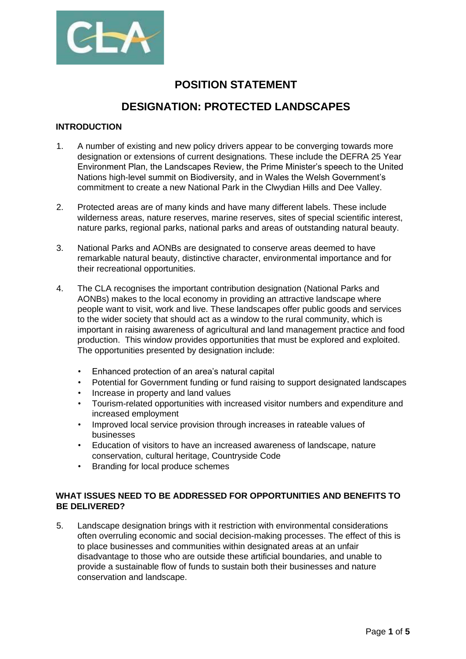

# **POSITION STATEMENT**

# **DESIGNATION: PROTECTED LANDSCAPES**

# **INTRODUCTION**

- 1. A number of existing and new policy drivers appear to be converging towards more designation or extensions of current designations. These include the DEFRA 25 Year Environment Plan, the Landscapes Review, the Prime Minister's speech to the United Nations high-level summit on Biodiversity, and in Wales the Welsh Government's commitment to create a new National Park in the Clwydian Hills and Dee Valley.
- 2. Protected areas are of many kinds and have many different labels. These include wilderness areas, nature reserves, marine reserves, sites of special scientific interest, nature parks, regional parks, national parks and areas of outstanding natural beauty.
- 3. National Parks and AONBs are designated to conserve areas deemed to have remarkable natural beauty, distinctive character, environmental importance and for their recreational opportunities.
- 4. The CLA recognises the important contribution designation (National Parks and AONBs) makes to the local economy in providing an attractive landscape where people want to visit, work and live. These landscapes offer public goods and services to the wider society that should act as a window to the rural community, which is important in raising awareness of agricultural and land management practice and food production. This window provides opportunities that must be explored and exploited. The opportunities presented by designation include:
	- Enhanced protection of an area's natural capital
	- Potential for Government funding or fund raising to support designated landscapes
	- Increase in property and land values
	- Tourism-related opportunities with increased visitor numbers and expenditure and increased employment
	- Improved local service provision through increases in rateable values of businesses
	- Education of visitors to have an increased awareness of landscape, nature conservation, cultural heritage, Countryside Code
	- Branding for local produce schemes

# **WHAT ISSUES NEED TO BE ADDRESSED FOR OPPORTUNITIES AND BENEFITS TO BE DELIVERED?**

5. Landscape designation brings with it restriction with environmental considerations often overruling economic and social decision-making processes. The effect of this is to place businesses and communities within designated areas at an unfair disadvantage to those who are outside these artificial boundaries, and unable to provide a sustainable flow of funds to sustain both their businesses and nature conservation and landscape.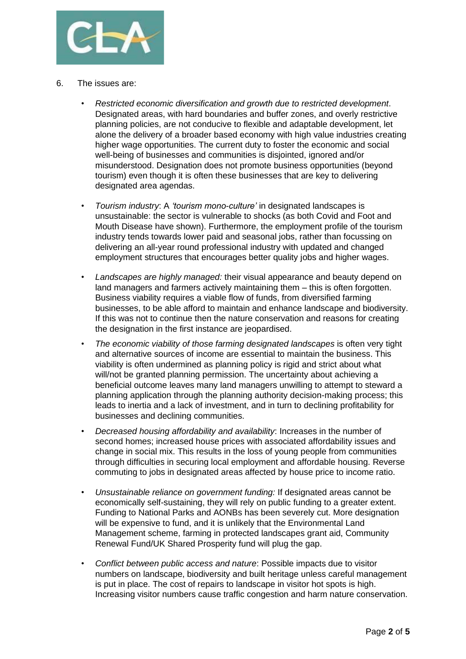

- 6. The issues are:
	- *Restricted economic diversification and growth due to restricted development*. Designated areas, with hard boundaries and buffer zones, and overly restrictive planning policies, are not conducive to flexible and adaptable development, let alone the delivery of a broader based economy with high value industries creating higher wage opportunities. The current duty to foster the economic and social well-being of businesses and communities is disjointed, ignored and/or misunderstood. Designation does not promote business opportunities (beyond tourism) even though it is often these businesses that are key to delivering designated area agendas.
	- *Tourism industry*: A *'tourism mono-culture'* in designated landscapes is unsustainable: the sector is vulnerable to shocks (as both Covid and Foot and Mouth Disease have shown). Furthermore, the employment profile of the tourism industry tends towards lower paid and seasonal jobs, rather than focussing on delivering an all-year round professional industry with updated and changed employment structures that encourages better quality jobs and higher wages.
	- *Landscapes are highly managed:* their visual appearance and beauty depend on land managers and farmers actively maintaining them – this is often forgotten. Business viability requires a viable flow of funds, from diversified farming businesses, to be able afford to maintain and enhance landscape and biodiversity. If this was not to continue then the nature conservation and reasons for creating the designation in the first instance are jeopardised.
	- *The economic viability of those farming designated landscapes* is often very tight and alternative sources of income are essential to maintain the business. This viability is often undermined as planning policy is rigid and strict about what will/not be granted planning permission. The uncertainty about achieving a beneficial outcome leaves many land managers unwilling to attempt to steward a planning application through the planning authority decision-making process; this leads to inertia and a lack of investment, and in turn to declining profitability for businesses and declining communities.
	- *Decreased housing affordability and availability*: Increases in the number of second homes; increased house prices with associated affordability issues and change in social mix. This results in the loss of young people from communities through difficulties in securing local employment and affordable housing. Reverse commuting to jobs in designated areas affected by house price to income ratio.
	- *Unsustainable reliance on government funding:* If designated areas cannot be economically self-sustaining, they will rely on public funding to a greater extent. Funding to National Parks and AONBs has been severely cut. More designation will be expensive to fund, and it is unlikely that the Environmental Land Management scheme, farming in protected landscapes grant aid, Community Renewal Fund/UK Shared Prosperity fund will plug the gap.
	- *Conflict between public access and nature*: Possible impacts due to visitor numbers on landscape, biodiversity and built heritage unless careful management is put in place. The cost of repairs to landscape in visitor hot spots is high. Increasing visitor numbers cause traffic congestion and harm nature conservation.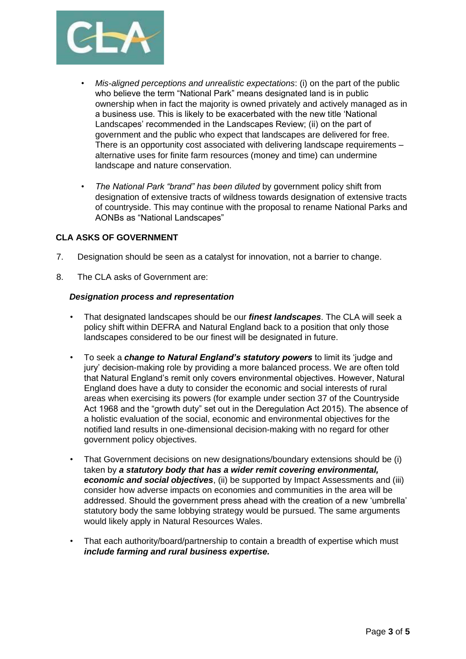

- *Mis-aligned perceptions and unrealistic expectations*: (i) on the part of the public who believe the term "National Park" means designated land is in public ownership when in fact the majority is owned privately and actively managed as in a business use. This is likely to be exacerbated with the new title 'National Landscapes' recommended in the Landscapes Review; (ii) on the part of government and the public who expect that landscapes are delivered for free. There is an opportunity cost associated with delivering landscape requirements – alternative uses for finite farm resources (money and time) can undermine landscape and nature conservation.
- *The National Park "brand" has been diluted* by government policy shift from designation of extensive tracts of wildness towards designation of extensive tracts of countryside. This may continue with the proposal to rename National Parks and AONBs as "National Landscapes"

## **CLA ASKS OF GOVERNMENT**

- 7. Designation should be seen as a catalyst for innovation, not a barrier to change.
- 8. The CLA asks of Government are:

#### *Designation process and representation*

- That designated landscapes should be our *finest landscapes*. The CLA will seek a policy shift within DEFRA and Natural England back to a position that only those landscapes considered to be our finest will be designated in future.
- To seek a *change to Natural England's statutory powers* to limit its 'judge and jury' decision-making role by providing a more balanced process. We are often told that Natural England's remit only covers environmental objectives. However, Natural England does have a duty to consider the economic and social interests of rural areas when exercising its powers (for example under section 37 of the Countryside Act 1968 and the "growth duty" set out in the Deregulation Act 2015). The absence of a holistic evaluation of the social, economic and environmental objectives for the notified land results in one-dimensional decision-making with no regard for other government policy objectives.
- That Government decisions on new designations/boundary extensions should be (i) taken by *a statutory body that has a wider remit covering environmental, economic and social objectives*, (ii) be supported by Impact Assessments and (iii) consider how adverse impacts on economies and communities in the area will be addressed. Should the government press ahead with the creation of a new 'umbrella' statutory body the same lobbying strategy would be pursued. The same arguments would likely apply in Natural Resources Wales.
- That each authority/board/partnership to contain a breadth of expertise which must *include farming and rural business expertise.*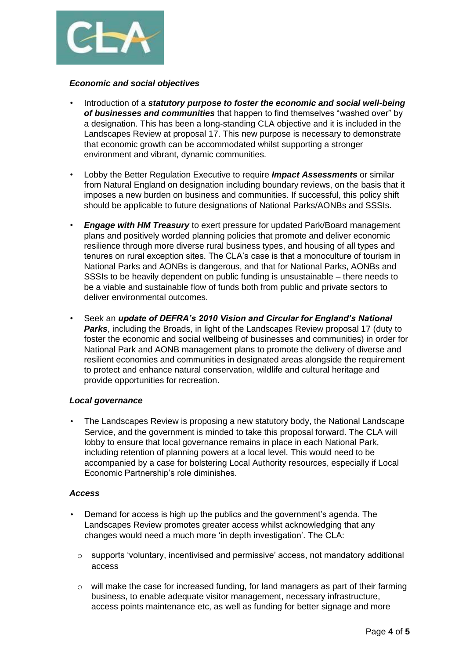

#### *Economic and social objectives*

- Introduction of a *statutory purpose to foster the economic and social well-being of businesses and communities* that happen to find themselves "washed over" by a designation. This has been a long-standing CLA objective and it is included in the Landscapes Review at proposal 17. This new purpose is necessary to demonstrate that economic growth can be accommodated whilst supporting a stronger environment and vibrant, dynamic communities.
- Lobby the Better Regulation Executive to require *Impact Assessments* or similar from Natural England on designation including boundary reviews, on the basis that it imposes a new burden on business and communities. If successful, this policy shift should be applicable to future designations of National Parks/AONBs and SSSIs.
- *Engage with HM Treasury* to exert pressure for updated Park/Board management plans and positively worded planning policies that promote and deliver economic resilience through more diverse rural business types, and housing of all types and tenures on rural exception sites. The CLA's case is that a monoculture of tourism in National Parks and AONBs is dangerous, and that for National Parks, AONBs and SSSIs to be heavily dependent on public funding is unsustainable – there needs to be a viable and sustainable flow of funds both from public and private sectors to deliver environmental outcomes.
- Seek an *update of DEFRA's 2010 Vision and Circular for England's National Parks*, including the Broads, in light of the Landscapes Review proposal 17 (duty to foster the economic and social wellbeing of businesses and communities) in order for National Park and AONB management plans to promote the delivery of diverse and resilient economies and communities in designated areas alongside the requirement to protect and enhance natural conservation, wildlife and cultural heritage and provide opportunities for recreation.

## *Local governance*

• The Landscapes Review is proposing a new statutory body, the National Landscape Service, and the government is minded to take this proposal forward. The CLA will lobby to ensure that local governance remains in place in each National Park, including retention of planning powers at a local level. This would need to be accompanied by a case for bolstering Local Authority resources, especially if Local Economic Partnership's role diminishes.

## *Access*

- Demand for access is high up the publics and the government's agenda. The Landscapes Review promotes greater access whilst acknowledging that any changes would need a much more 'in depth investigation'. The CLA:
	- $\circ$  supports 'voluntary, incentivised and permissive' access, not mandatory additional access
	- o will make the case for increased funding, for land managers as part of their farming business, to enable adequate visitor management, necessary infrastructure, access points maintenance etc, as well as funding for better signage and more